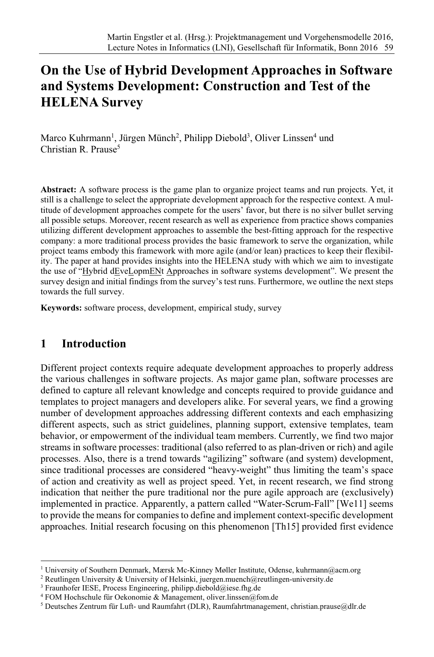# **On the Use of Hybrid Development Approaches in Software and Systems Development: Construction and Test of the HELENA Survey**

Marco Kuhrmann<sup>1</sup>, Jürgen Münch<sup>2</sup>, Philipp Diebold<sup>3</sup>, Oliver Linssen<sup>4</sup> und  $Christian R. Prause<sup>5</sup>$ 

**Abstract:** A software process is the game plan to organize project teams and run projects. Yet, it still is a challenge to select the appropriate development approach for the respective context. A multitude of development approaches compete for the users' favor, but there is no silver bullet serving all possible setups. Moreover, recent research as well as experience from practice shows companies utilizing different development approaches to assemble the best-fitting approach for the respective company: a more traditional process provides the basic framework to serve the organization, while project teams embody this framework with more agile (and/or lean) practices to keep their flexibility. The paper at hand provides insights into the HELENA study with which we aim to investigate the use of "Hybrid dEveLopmENt Approaches in software systems development". We present the survey design and initial findings from the survey's test runs. Furthermore, we outline the next steps towards the full survey.

**Keywords:** software process, development, empirical study, survey

### **1 Introduction**

Different project contexts require adequate development approaches to properly address the various challenges in software projects. As major game plan, software processes are defined to capture all relevant knowledge and concepts required to provide guidance and templates to project managers and developers alike. For several years, we find a growing number of development approaches addressing different contexts and each emphasizing different aspects, such as strict guidelines, planning support, extensive templates, team behavior, or empowerment of the individual team members. Currently, we find two major streams in software processes: traditional (also referred to as plan-driven or rich) and agile processes. Also, there is a trend towards "agilizing" software (and system) development, since traditional processes are considered "heavy-weight" thus limiting the team's space of action and creativity as well as project speed. Yet, in recent research, we find strong indication that neither the pure traditional nor the pure agile approach are (exclusively) implemented in practice. Apparently, a pattern called "Water-Scrum-Fall" [We11] seems to provide the means for companies to define and implement context-specific development approaches. Initial research focusing on this phenomenon [Th15] provided first evidence

<sup>1</sup> University of Southern Denmark, Mærsk Mc-Kinney Møller Institute, Odense, kuhrmann@acm.org

<sup>2</sup> Reutlingen University & University of Helsinki, juergen.muench@reutlingen-university.de

<sup>&</sup>lt;sup>3</sup> Fraunhofer IESE, Process Engineering, philipp.diebold@iese.fhg.de

 $4$  FOM Hochschule für Oekonomie & Management, oliver.linssen@fom.de

 $5$  Deutsches Zentrum für Luft- und Raumfahrt (DLR), Raumfahrtmanagement, christian.prause@dlr.de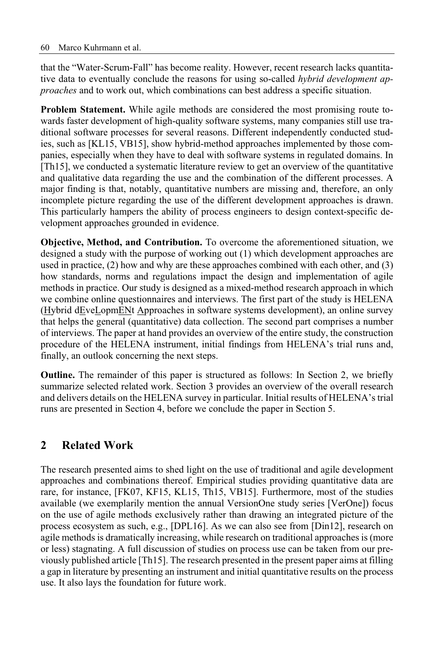that the "Water-Scrum-Fall" has become reality. However, recent research lacks quantitative data to eventually conclude the reasons for using so-called *hybrid development approaches* and to work out, which combinations can best address a specific situation.

**Problem Statement.** While agile methods are considered the most promising route towards faster development of high-quality software systems, many companies still use traditional software processes for several reasons. Different independently conducted studies, such as [KL15, VB15], show hybrid-method approaches implemented by those companies, especially when they have to deal with software systems in regulated domains. In [Th15], we conducted a systematic literature review to get an overview of the quantitative and qualitative data regarding the use and the combination of the different processes. A major finding is that, notably, quantitative numbers are missing and, therefore, an only incomplete picture regarding the use of the different development approaches is drawn. This particularly hampers the ability of process engineers to design context-specific development approaches grounded in evidence.

**Objective, Method, and Contribution.** To overcome the aforementioned situation, we designed a study with the purpose of working out (1) which development approaches are used in practice, (2) how and why are these approaches combined with each other, and (3) how standards, norms and regulations impact the design and implementation of agile methods in practice. Our study is designed as a mixed-method research approach in which we combine online questionnaires and interviews. The first part of the study is HELENA (Hybrid dEveLopmENt Approaches in software systems development), an online survey that helps the general (quantitative) data collection. The second part comprises a number of interviews. The paper at hand provides an overview of the entire study, the construction procedure of the HELENA instrument, initial findings from HELENA's trial runs and, finally, an outlook concerning the next steps.

**Outline.** The remainder of this paper is structured as follows: In Section 2, we briefly summarize selected related work. Section 3 provides an overview of the overall research and delivers details on the HELENA survey in particular. Initial results of HELENA's trial runs are presented in Section 4, before we conclude the paper in Section 5.

# **2 Related Work**

The research presented aims to shed light on the use of traditional and agile development approaches and combinations thereof. Empirical studies providing quantitative data are rare, for instance, [FK07, KF15, KL15, Th15, VB15]. Furthermore, most of the studies available (we exemplarily mention the annual VersionOne study series [VerOne]) focus on the use of agile methods exclusively rather than drawing an integrated picture of the process ecosystem as such, e.g., [DPL16]. As we can also see from [Din12], research on agile methods is dramatically increasing, while research on traditional approaches is(more or less) stagnating. A full discussion of studies on process use can be taken from our previously published article [Th15]. The research presented in the present paper aims at filling a gap in literature by presenting an instrument and initial quantitative results on the process use. It also lays the foundation for future work.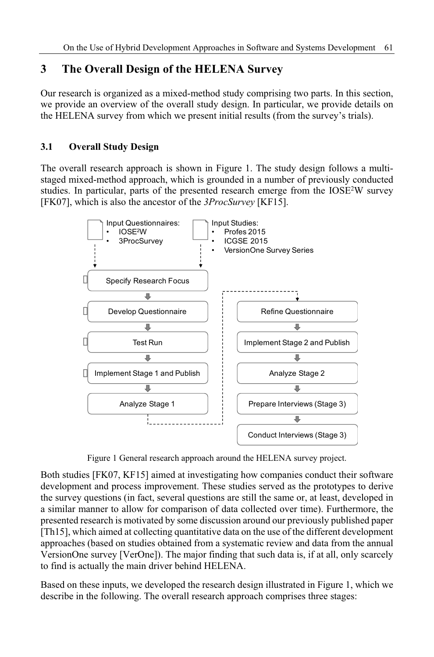# **3 The Overall Design of the HELENA Survey**

Our research is organized as a mixed-method study comprising two parts. In this section, we provide an overview of the overall study design. In particular, we provide details on the HELENA survey from which we present initial results (from the survey's trials).

### **3.1 Overall Study Design**

The overall research approach is shown in Figure 1. The study design follows a multistaged mixed-method approach, which is grounded in a number of previously conducted studies. In particular, parts of the presented research emerge from the  $IOSE<sup>2</sup>W$  survey [FK07], which is also the ancestor of the *3ProcSurvey* [KF15].



Figure 1 General research approach around the HELENA survey project.

Both studies [FK07, KF15] aimed at investigating how companies conduct their software development and process improvement. These studies served as the prototypes to derive the survey questions (in fact, several questions are still the same or, at least, developed in a similar manner to allow for comparison of data collected over time). Furthermore, the presented research is motivated by some discussion around our previously published paper [Th15], which aimed at collecting quantitative data on the use of the different development approaches (based on studies obtained from a systematic review and data from the annual VersionOne survey [VerOne]). The major finding that such data is, if at all, only scarcely to find is actually the main driver behind HELENA.

Based on these inputs, we developed the research design illustrated in Figure 1, which we describe in the following. The overall research approach comprises three stages: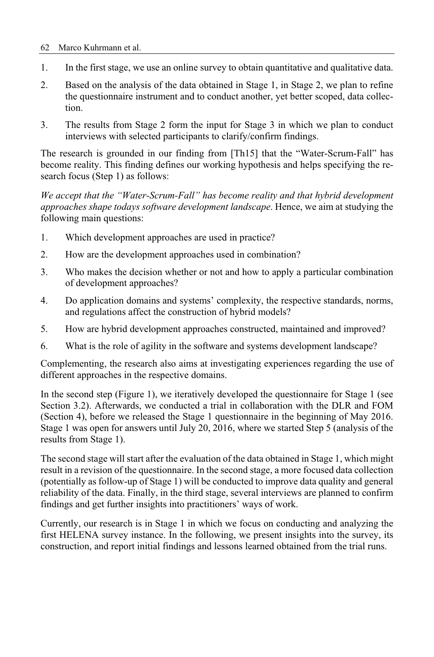#### 62 Marco Kuhrmann et al.

- 1. In the first stage, we use an online survey to obtain quantitative and qualitative data.
- 2. Based on the analysis of the data obtained in Stage 1, in Stage 2, we plan to refine the questionnaire instrument and to conduct another, yet better scoped, data collection.
- 3. The results from Stage 2 form the input for Stage 3 in which we plan to conduct interviews with selected participants to clarify/confirm findings.

The research is grounded in our finding from [Th15] that the "Water-Scrum-Fall" has become reality. This finding defines our working hypothesis and helps specifying the research focus (Step 1) as follows:

*We accept that the "Water-Scrum-Fall" has become reality and that hybrid development approaches shape todays software development landscape*. Hence, we aim at studying the following main questions:

- 1. Which development approaches are used in practice?
- 2. How are the development approaches used in combination?
- 3. Who makes the decision whether or not and how to apply a particular combination of development approaches?
- 4. Do application domains and systems' complexity, the respective standards, norms, and regulations affect the construction of hybrid models?
- 5. How are hybrid development approaches constructed, maintained and improved?
- 6. What is the role of agility in the software and systems development landscape?

Complementing, the research also aims at investigating experiences regarding the use of different approaches in the respective domains.

In the second step (Figure 1), we iteratively developed the questionnaire for Stage 1 (see Section 3.2). Afterwards, we conducted a trial in collaboration with the DLR and FOM (Section 4), before we released the Stage 1 questionnaire in the beginning of May 2016. Stage 1 was open for answers until July 20, 2016, where we started Step 5 (analysis of the results from Stage 1).

The second stage will start after the evaluation of the data obtained in Stage 1, which might result in a revision of the questionnaire. In the second stage, a more focused data collection (potentially as follow-up of Stage 1) will be conducted to improve data quality and general reliability of the data. Finally, in the third stage, several interviews are planned to confirm findings and get further insights into practitioners' ways of work.

Currently, our research is in Stage 1 in which we focus on conducting and analyzing the first HELENA survey instance. In the following, we present insights into the survey, its construction, and report initial findings and lessons learned obtained from the trial runs.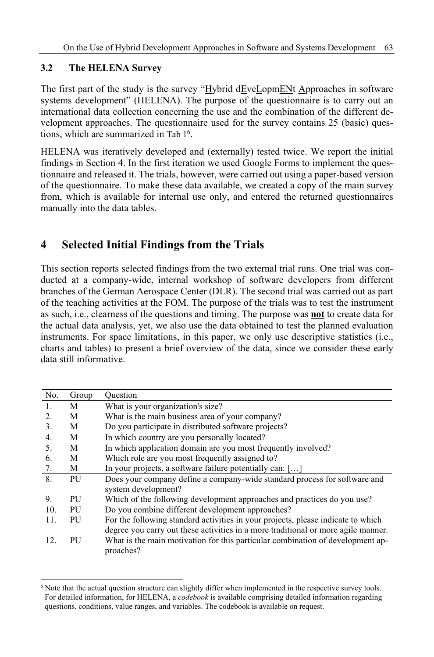### **3.2 The HELENA Survey**

The first part of the study is the survey "Hybrid dEveLopmENt Approaches in software systems development" (HELENA). The purpose of the questionnaire is to carry out an international data collection concerning the use and the combination of the different development approaches. The questionnaire used for the survey contains 25 (basic) questions, which are summarized in Tab 1<sup>6</sup> .

HELENA was iteratively developed and (externally) tested twice. We report the initial findings in Section 4. In the first iteration we used Google Forms to implement the questionnaire and released it. The trials, however, were carried out using a paper-based version of the questionnaire. To make these data available, we created a copy of the main survey from, which is available for internal use only, and entered the returned questionnaires manually into the data tables.

# **4 Selected Initial Findings from the Trials**

This section reports selected findings from the two external trial runs. One trial was conducted at a company-wide, internal workshop of software developers from different branches of the German Aerospace Center (DLR). The second trial was carried out as part of the teaching activities at the FOM. The purpose of the trials was to test the instrument as such, i.e., clearness of the questions and timing. The purpose was **not** to create data for the actual data analysis, yet, we also use the data obtained to test the planned evaluation instruments. For space limitations, in this paper, we only use descriptive statistics (i.e., charts and tables) to present a brief overview of the data, since we consider these early data still informative.

| No. | Group | Ouestion                                                                          |
|-----|-------|-----------------------------------------------------------------------------------|
| 1.  | M     | What is your organization's size?                                                 |
| 2.  | М     | What is the main business area of your company?                                   |
| 3.  | М     | Do you participate in distributed software projects?                              |
| 4.  | M     | In which country are you personally located?                                      |
| 5.  | М     | In which application domain are you most frequently involved?                     |
| 6.  | М     | Which role are you most frequently assigned to?                                   |
| 7.  | М     | In your projects, a software failure potentially can: []                          |
| 8.  | PU    | Does your company define a company-wide standard process for software and         |
|     |       | system development?                                                               |
| 9.  | PU    | Which of the following development approaches and practices do you use?           |
| 10. | PU    | Do you combine different development approaches?                                  |
| 11. | PU    | For the following standard activities in your projects, please indicate to which  |
|     |       | degree you carry out these activities in a more traditional or more agile manner. |
| 12. | PU    | What is the main motivation for this particular combination of development ap-    |
|     |       | proaches?                                                                         |
|     |       |                                                                                   |

<sup>&</sup>lt;sup>6</sup> Note that the actual question structure can slightly differ when implemented in the respective survey tools. For detailed information, for HELENA, a *codebook* is available comprising detailed information regarding questions, conditions, value ranges, and variables. The codebook is available on request.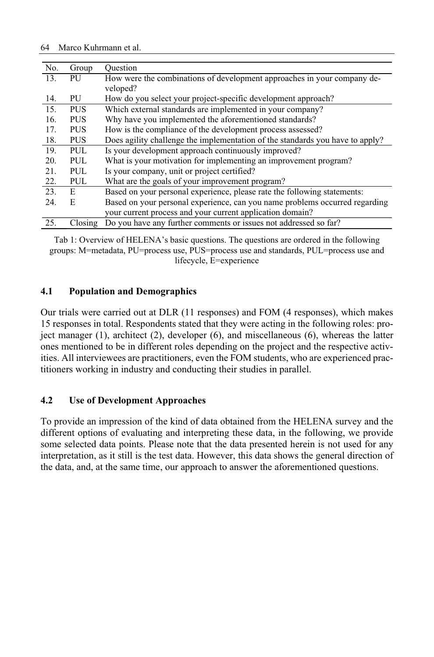| No. | Group      | Ouestion                                                                      |
|-----|------------|-------------------------------------------------------------------------------|
| 13. | PU         | How were the combinations of development approaches in your company de-       |
|     |            | veloped?                                                                      |
| 14. | PU         | How do you select your project-specific development approach?                 |
| 15. | <b>PUS</b> | Which external standards are implemented in your company?                     |
| 16. | <b>PUS</b> | Why have you implemented the aforementioned standards?                        |
| 17. | <b>PUS</b> | How is the compliance of the development process assessed?                    |
| 18. | <b>PUS</b> | Does agility challenge the implementation of the standards you have to apply? |
| 19. | PUL        | Is your development approach continuously improved?                           |
| 20. | PUL.       | What is your motivation for implementing an improvement program?              |
| 21. | PUL        | Is your company, unit or project certified?                                   |
| 22. | PUL        | What are the goals of your improvement program?                               |
| 23. | E.         | Based on your personal experience, please rate the following statements:      |
| 24. | E          | Based on your personal experience, can you name problems occurred regarding   |
|     |            | your current process and your current application domain?                     |
| 25. | Closing    | Do you have any further comments or issues not addressed so far?              |

Tab 1: Overview of HELENA's basic questions. The questions are ordered in the following groups: M=metadata, PU=process use, PUS=process use and standards, PUL=process use and lifecycle, E=experience

#### **4.1 Population and Demographics**

Our trials were carried out at DLR (11 responses) and FOM (4 responses), which makes 15 responses in total. Respondents stated that they were acting in the following roles: project manager (1), architect (2), developer (6), and miscellaneous (6), whereas the latter ones mentioned to be in different roles depending on the project and the respective activities. All interviewees are practitioners, even the FOM students, who are experienced practitioners working in industry and conducting their studies in parallel.

#### **4.2 Use of Development Approaches**

To provide an impression of the kind of data obtained from the HELENA survey and the different options of evaluating and interpreting these data, in the following, we provide some selected data points. Please note that the data presented herein is not used for any interpretation, as it still is the test data. However, this data shows the general direction of the data, and, at the same time, our approach to answer the aforementioned questions.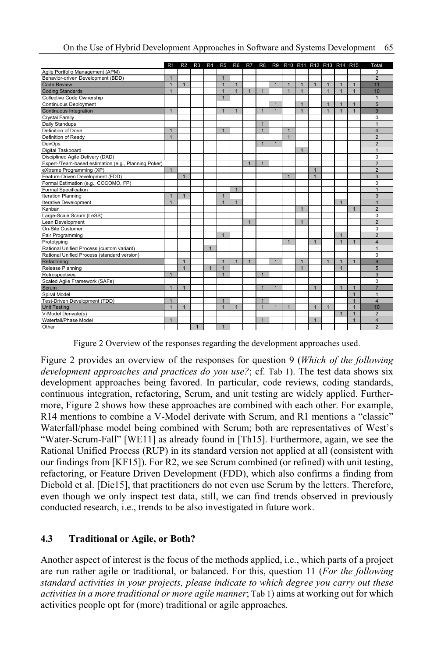|                                                      | R <sub>1</sub> | R <sub>2</sub> | R3           | R4             | R <sub>5</sub> | R <sub>6</sub> | R7           | R <sub>8</sub> |                |                |                |                | R9 R10 R11 R12 R13 R14 R15 |                |              | Total                   |
|------------------------------------------------------|----------------|----------------|--------------|----------------|----------------|----------------|--------------|----------------|----------------|----------------|----------------|----------------|----------------------------|----------------|--------------|-------------------------|
| Agile Portfolio Management (APM)                     |                |                |              |                |                |                |              |                |                |                |                |                |                            |                |              | $\Omega$                |
| Behavior-driven Development (BDD)                    | $\mathbf{1}$   |                |              |                | $\overline{1}$ |                |              |                |                |                |                |                |                            |                |              | $\overline{2}$          |
| <b>Code Review</b>                                   | $\overline{1}$ | $\mathbf{1}$   |              |                | $\overline{1}$ | $\mathbf{1}$   |              |                | $\overline{1}$ | $\overline{1}$ | $\mathbf{1}$   | $\mathbf{1}$   | $\overline{1}$             | $\overline{1}$ | $\mathbf{1}$ | 11                      |
| <b>Coding Standards</b>                              | $\mathbf{1}$   |                |              |                | $\overline{1}$ | $\mathbf{1}$   | 1            | $\mathbf{1}$   |                | $\overline{1}$ | $\overline{1}$ |                | $\overline{1}$             | $\overline{1}$ | $\mathbf{1}$ | 10                      |
| Collective Code Ownership                            |                |                |              |                | $\mathbf{1}$   |                |              |                |                |                |                |                |                            |                |              | 1                       |
| Continuous Deployment                                |                |                |              |                |                |                |              |                | $\overline{1}$ |                | $\mathbf{1}$   |                | $\overline{1}$             | $\overline{1}$ | $\mathbf{1}$ | 5                       |
| Continuous Integration                               | $\overline{1}$ |                |              |                | $\overline{1}$ | $\mathbf{1}$   |              | $\mathbf{1}$   | $\mathbf{1}$   |                | $\overline{1}$ |                | $\overline{1}$             | $\overline{1}$ | $\mathbf{1}$ | 9                       |
| Crystal Family                                       |                |                |              |                |                |                |              |                |                |                |                |                |                            |                |              | $\Omega$                |
| Daily Standups                                       |                |                |              |                |                |                |              | $\mathbf{1}$   |                |                |                |                |                            |                |              | $\mathbf{1}$            |
| Definition of Done                                   | $\mathbf{1}$   |                |              |                | $\overline{1}$ |                |              | $\mathbf{1}$   |                | $\mathbf{1}$   |                |                |                            |                |              | $\overline{\mathbf{A}}$ |
| Definition of Ready                                  | $\overline{1}$ |                |              |                |                |                |              |                |                | $\overline{1}$ |                |                |                            |                |              | $\overline{2}$          |
| DevOps                                               |                |                |              |                |                |                |              | $\overline{1}$ | $\mathbf{1}$   |                |                |                |                            |                |              | $\overline{2}$          |
| Digital Taskboard                                    |                |                |              |                |                |                |              |                |                |                | $\overline{1}$ |                |                            |                |              | $\overline{1}$          |
| Disciplined Agile Delivery (DAD)                     |                |                |              |                |                |                |              |                |                |                |                |                |                            |                |              | $\Omega$                |
| Expert-/Team-based estimation (e.g., Planning Poker) |                |                |              |                |                |                | $\mathbf{1}$ | $\mathbf{1}$   |                |                |                |                |                            |                |              | $\overline{2}$          |
| eXtreme Programming (XP)                             | $\mathbf{1}$   |                |              |                |                |                |              |                |                |                |                | $\mathbf{1}$   |                            |                |              | $\overline{2}$          |
| Feature-Driven Development (FDD)                     |                | $\mathbf{1}$   |              |                |                |                |              |                |                | $\mathbf{1}$   |                | $\overline{1}$ |                            |                |              | 3                       |
| Formal Estimation (e.g., COCOMO, FP)                 |                |                |              |                |                |                |              |                |                |                |                |                |                            |                |              | $\Omega$                |
| <b>Formal Specification</b>                          |                |                |              |                |                | $\mathbf{1}$   |              |                |                |                |                |                |                            |                |              | $\overline{1}$          |
| Iteration Planning                                   | $\mathbf{1}$   | $\mathbf{1}$   |              |                | $\overline{1}$ |                |              |                |                |                |                |                |                            |                |              | 3                       |
| <b>Iterative Development</b>                         | $\mathbf{1}$   |                |              |                | $\overline{1}$ | $\overline{1}$ |              |                |                |                |                |                |                            | $\mathbf{1}$   |              | 4                       |
| Kanban                                               |                |                |              |                |                |                |              |                |                |                | $\mathbf{1}$   |                |                            |                | $\mathbf{1}$ | $\overline{2}$          |
| Large-Scale Scrum (LeSS)                             |                |                |              |                |                |                |              |                |                |                |                |                |                            |                |              | $\Omega$                |
| Lean Development                                     |                |                |              |                |                |                | $\mathbf{1}$ |                |                |                | $\overline{1}$ |                |                            |                |              | $\overline{2}$          |
| On-Site Customer                                     |                |                |              |                |                |                |              |                |                |                |                |                |                            |                |              | $\Omega$                |
| Pair Programming                                     |                |                |              |                | $\mathbf{1}$   |                |              |                |                |                |                |                |                            | $\mathbf{1}$   |              | $\overline{2}$          |
| Prototyping                                          |                |                |              |                |                |                |              |                |                | $\overline{1}$ |                | $\mathbf{1}$   |                            | $\mathbf{1}$   | $\mathbf{1}$ | $\overline{\mathbf{4}}$ |
| Rational Unified Process (custom variant)            |                |                |              | $\mathbf{1}$   |                |                |              |                |                |                |                |                |                            |                |              | 1                       |
| Rational Unified Process (standard version)          |                |                |              |                |                |                |              |                |                |                |                |                |                            |                |              | $\Omega$                |
| Refactoring                                          |                | $\mathbf{1}$   |              |                | $\overline{1}$ | $\mathbf{1}$   | 1            |                | $\mathbf{1}$   |                | $\overline{1}$ |                | $\overline{1}$             | $\mathbf{1}$   | $\mathbf{1}$ | 9                       |
| Release Planning                                     |                | $\mathbf{1}$   |              | $\overline{1}$ | $\overline{1}$ |                |              |                |                |                | $\mathbf{1}$   |                |                            | $\mathbf{1}$   |              | 5                       |
| Retrospectives                                       | $\mathbf{1}$   |                |              |                | $\mathbf{1}$   |                |              | $\mathbf{1}$   |                |                |                |                |                            |                |              | 3                       |
| Scaled Agile Framework (SAFe)                        |                |                |              |                |                |                |              |                |                |                |                |                |                            |                |              | $\Omega$                |
| Scrum                                                | $\mathbf{1}$   | $\mathbf{1}$   |              |                |                |                |              | $\mathbf{1}$   | $\mathbf{1}$   |                |                | $\mathbf{1}$   |                            | $\mathbf{1}$   | $\mathbf{1}$ | $\overline{7}$          |
| Spiral Model                                         |                |                |              |                |                |                |              |                |                |                |                |                |                            |                | $\mathbf{1}$ | $\mathbf{1}$            |
| Test-Driven Development (TDD)                        | $\mathbf{1}$   |                |              |                | $\overline{1}$ |                |              | $\mathbf{1}$   |                |                |                |                |                            |                | $\mathbf{1}$ | $\overline{\mathbf{A}}$ |
| <b>Unit Testing</b>                                  | $\overline{1}$ | $\mathbf{1}$   |              |                | $\overline{1}$ | $\mathbf{1}$   |              | $\overline{1}$ | $\mathbf{1}$   | 1              |                | $\mathbf{1}$   | $\overline{1}$             |                | $\mathbf{1}$ | 10                      |
| V-Model Derivate(s)                                  |                |                |              |                |                |                |              |                |                |                |                |                |                            | $\mathbf{1}$   | $\mathbf{1}$ | $\overline{2}$          |
| Waterfall/Phase Model                                | $\mathbf{1}$   |                |              |                |                |                |              | $\mathbf{1}$   |                |                |                | $\mathbf{1}$   |                            |                | $\mathbf{1}$ | 4                       |
| Other                                                |                |                | $\mathbf{1}$ |                | $\overline{1}$ |                |              |                |                |                |                |                |                            |                |              | $\overline{2}$          |

Figure 2 Overview of the responses regarding the development approaches used.

Figure 2 provides an overview of the responses for question9(*Which of the following development approaches and practices do you use?*; cf. Tab 1). The test data shows six development approaches being favored. In particular, code reviews, coding standards, continuous integration, refactoring, Scrum, and unit testing are widely applied. Furthermore, Figure 2 shows how these approaches are combined with each other. For example, R14 mentions to combine a V-Model derivate with Scrum, and R1 mentions a "classic" Waterfall/phase model being combined with Scrum; both are representatives of West's "Water-Scrum-Fall" [WE11] as already found in [Th15]. Furthermore, again, we see the Rational Unified Process (RUP) in its standard version not applied at all (consistent with our findings from [KF15]). For R2, we see Scrum combined (or refined) with unit testing, refactoring, or Feature Driven Development (FDD), which also confirms a finding from Diebold et al. [Die15], that practitioners do not even use Scrum by the letters. Therefore, even though we only inspect test data, still, we can find trends observed in previously conducted research, i.e., trends to be also investigated in future work.

### **4.3 Traditional or Agile, or Both?**

Another aspect of interest is the focus of the methods applied, i.e., which parts of a project are run rather agile or traditional, or balanced. For this, question 11 (*For the following standard activities in your projects, please indicate to which degree you carry out these activities in a more traditional or more agile manner*; Tab 1) aims at working out for which activities people opt for (more) traditional or agile approaches.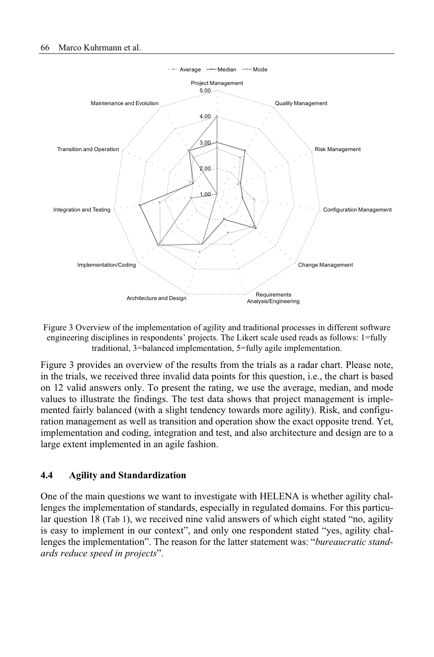

Figure 3 Overview of the implementation of agility and traditional processes in different software engineering disciplines in respondents' projects. The Likert scale used reads as follows: 1=fully traditional, 3=balanced implementation, 5=fully agile implementation.

Figure 3 provides an overview of the results from the trials as a radar chart. Please note, in the trials, we received three invalid data points for this question, i.e., the chart is based on 12 valid answers only. To present the rating, we use the average, median, and mode values to illustrate the findings. The test data shows that project management is implemented fairly balanced (with a slight tendency towards more agility). Risk, and configuration management as well as transition and operation show the exact opposite trend. Yet, implementation and coding, integration and test, and also architecture and design are to a large extent implemented in an agile fashion.

#### **4.4 Agility and Standardization**

One of the main questions we want to investigate with HELENA is whether agility challenges the implementation of standards, especially in regulated domains. For this particular question 18 (Tab 1), we received nine valid answers of which eight stated "no, agility is easy to implement in our context", and only one respondent stated "yes, agility challenges the implementation". The reason for the latter statement was: "*bureaucratic standards reduce speed in projects*".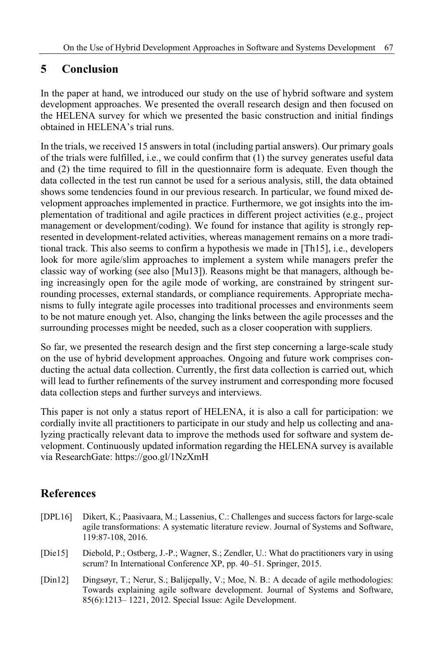# **5 Conclusion**

In the paper at hand, we introduced our study on the use of hybrid software and system development approaches. We presented the overall research design and then focused on the HELENA survey for which we presented the basic construction and initial findings obtained in HELENA's trial runs.

In the trials, we received 15 answers in total (including partial answers). Our primary goals of the trials were fulfilled, i.e., we could confirm that (1) the survey generates useful data and (2) the time required to fill in the questionnaire form is adequate. Even though the data collected in the test run cannot be used for a serious analysis, still, the data obtained shows some tendencies found in our previous research. In particular, we found mixed development approaches implemented in practice. Furthermore, we got insights into the implementation of traditional and agile practices in different project activities (e.g., project management or development/coding). We found for instance that agility is strongly represented in development-related activities, whereas management remains on a more traditional track. This also seems to confirm a hypothesis we made in [Th15], i.e., developers look for more agile/slim approaches to implement a system while managers prefer the classic way of working (see also [Mu13]). Reasons might be that managers, although being increasingly open for the agile mode of working, are constrained by stringent surrounding processes, external standards, or compliance requirements. Appropriate mechanisms to fully integrate agile processes into traditional processes and environments seem to be not mature enough yet. Also, changing the links between the agile processes and the surrounding processes might be needed, such as a closer cooperation with suppliers.

So far, we presented the research design and the first step concerning a large-scale study on the use of hybrid development approaches. Ongoing and future work comprises conducting the actual data collection. Currently, the first data collection is carried out, which will lead to further refinements of the survey instrument and corresponding more focused data collection steps and further surveys and interviews.

This paper is not only a status report of HELENA, it is also a call for participation: we cordially invite all practitioners to participate in our study and help us collecting and analyzing practically relevant data to improve the methods used for software and system development. Continuously updated information regarding the HELENA survey is available via ResearchGate: https://goo.gl/1NzXmH

### **References**

- [DPL16] Dikert, K.; Paasivaara, M.; Lassenius, C.: Challenges and success factors for large-scale agile transformations: A systematic literature review. Journal of Systems and Software, 119:87-108, 2016.
- [Die15] Diebold, P.; Ostberg, J.-P.; Wagner, S.; Zendler, U.: What do practitioners vary in using scrum? In International Conference XP, pp. 40–51. Springer, 2015.
- [Din12] Dingsøyr, T.; Nerur, S.; Balijepally, V.; Moe, N. B.: A decade of agile methodologies: Towards explaining agile software development. Journal of Systems and Software, 85(6):1213– 1221, 2012. Special Issue: Agile Development.